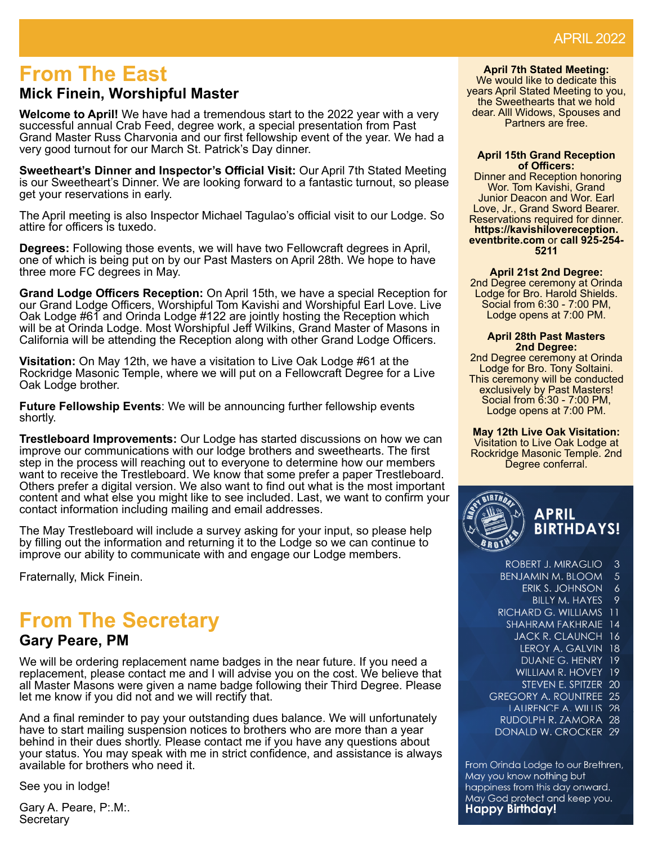## **From The East**

### **Mick Finein, Worshipful Master**

**Welcome to April!** We have had a tremendous start to the 2022 year with a very successful annual Crab Feed, degree work, a special presentation from Past Grand Master Russ Charvonia and our first fellowship event of the year. We had a very good turnout for our March St. Patrick's Day dinner.

**Sweetheart's Dinner and Inspector's Offi cial Visit:** Our April 7th Stated Meeting is our Sweetheart's Dinner. We are looking forward to a fantastic turnout, so please get your reservations in early.

The April meeting is also Inspector Michael Tagulao's official visit to our Lodge. So attire for officers is tuxedo.

**Degrees:** Following those events, we will have two Fellowcraft degrees in April, one of which is being put on by our Past Masters on April 28th. We hope to have three more FC degrees in May.

**Grand Lodge Offi cers Reception:** On April 15th, we have a special Reception for our Grand Lodge Officers, Worshipful Tom Kavishi and Worshipful Earl Love. Live Oak Lodge #61 and Orinda Lodge #122 are jointly hosting the Reception which will be at Orinda Lodge. Most Worshipful Jeff Wilkins, Grand Master of Masons in California will be attending the Reception along with other Grand Lodge Officers.

**Visitation:** On May 12th, we have a visitation to Live Oak Lodge #61 at the Rockridge Masonic Temple, where we will put on a Fellowcraft Degree for a Live Oak Lodge brother.

**Future Fellowship Events**: We will be announcing further fellowship events shortly.

**Trestleboard Improvements:** Our Lodge has started discussions on how we can improve our communications with our lodge brothers and sweethearts. The first step in the process will reaching out to everyone to determine how our members want to receive the Trestleboard. We know that some prefer a paper Trestleboard. Others prefer a digital version. We also want to find out what is the most important content and what else you might like to see included. Last, we want to confirm your contact information including mailing and email addresses.

The May Trestleboard will include a survey asking for your input, so please help by filling out the information and returning it to the Lodge so we can continue to improve our ability to communicate with and engage our Lodge members.

Fraternally, Mick Finein.

# **From The Secretary**

### **Gary Peare, PM**

We will be ordering replacement name badges in the near future. If you need a replacement, please contact me and I will advise you on the cost. We believe that all Master Masons were given a name badge following their Third Degree. Please let me know if you did not and we will rectify that.

And a final reminder to pay your outstanding dues balance. We will unfortunately have to start mailing suspension notices to brothers who are more than a year behind in their dues shortly. Please contact me if you have any questions about your status. You may speak with me in strict confidence, and assistance is always available for brothers who need it.

See you in lodge!

Gary A. Peare, P:.M:. **Secretary** 

**April 7th Stated Meeting:** We would like to dedicate this years April Stated Meeting to you, the Sweethearts that we hold dear. Alll Widows, Spouses and Partners are free.

#### **April 15th Grand Reception of Offi cers:**

 Dinner and Reception honoring Wor. Tom Kavishi, Grand Junior Deacon and Wor. Earl Love, Jr., Grand Sword Bearer. Reservations required for dinner. **https://kavishilovereception. eventbrite.com** or **call 925-254- 5211**

**April 21st 2nd Degree:**

2nd Degree ceremony at Orinda Lodge for Bro. Harold Shields. Social from 6:30 - 7:00 PM, Lodge opens at 7:00 PM.

#### **April 28th Past Masters 2nd Degree:**

2nd Degree ceremony at Orinda Lodge for Bro. Tony Soltaini. This ceremony will be conducted exclusively by Past Masters! Social from 6:30 - 7:00 PM, Lodge opens at 7:00 PM.

**May 12th Live Oak Visitation:** Visitation to Live Oak Lodge at Rockridge Masonic Temple. 2nd Degree conferral.



| ROBERT J. MIRAGLIO      | 3  |
|-------------------------|----|
| benjamin m. bloom       | 5  |
| erik S. Johnson         | 6  |
| <b>BILLY M. HAYES</b>   | 9  |
| RICHARD G. WILLIAMS     | īι |
| <b>SHAHRAM FAKHRAIE</b> | 14 |
| JACK R. CLAUNCH         | 16 |
| I FROY A. GAI VIN       | 18 |
| DUANE G. HENRY          | 19 |
| WILLIAM R. HOVEY        | 19 |
| STEVEN F. SPITZER       | 20 |
| GREGORY A. ROUNTREE     | 25 |
| LAURENCE A. WILLIS      | 28 |
| RUDOLPH R. ZAMORA       | 28 |
| DONALD W. CROCKER       | 29 |
|                         |    |

From Orinda Lodge to our Brethren, May you know nothing but happiness from this day onward. May God protect and keep you. **Happy Birthday!**